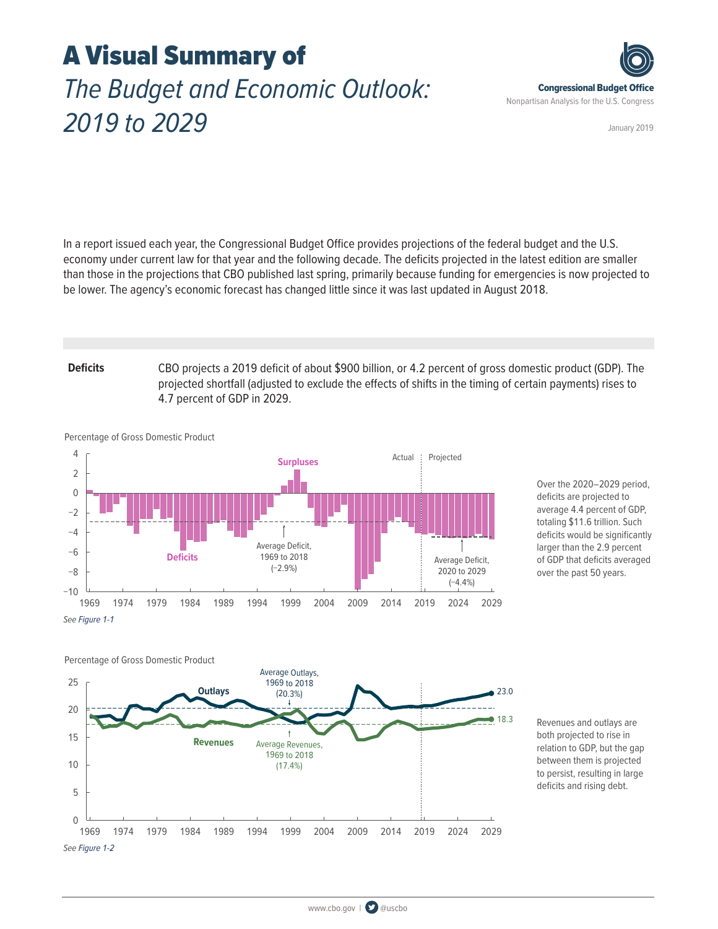# A Visual Summary of *The Budget and Economic Outlook: 2019 to 2029*



January 2019

In a report issued each year, the Congressional Budget Office provides projections of the federal budget and the U.S. economy under current law for that year and the following decade. The deficits projected in the latest edition are smaller than those in the projections that CBO published last spring, primarily because funding for emergencies is now projected to be lower. The agency's economic forecast has changed little since it was last updated in August 2018.

**Deficits** CBO projects a 2019 deficit of about \$900 billion, or 4.2 percent of gross domestic product (GDP). The projected shortfall (adjusted to exclude the effects of shifts in the timing of certain payments) rises to 4.7 percent of GDP in 2029.



Over the 2020–2029 period, deficits are projected to average 4.4 percent of GDP, totaling \$11.6 trillion. Such deficits would be significantly larger than the 2.9 percent of GDP that deficits averaged over the past 50 years.

0 10 5 15 10 20 15 25 1969 1974 1979 1984 1989 1994 1999 2004 2009 2014 2019 2024 2029 Percentage of Gross Domestic Product −10  $\Omega$ 5 ● ● 1969 1974 1979 1984 1989 1994 1999 2004 2009 2014 2019 2024 2029 1969 1974 1979 1984 1989 1994 1999 2004 2009 2014 2019 2024 2029 **Outlays** Average Outlays, 1969 to 2018 (20.3%) 23.0 Average Revenues, 1969 to 2018 (17.4%) 18.3 **Revenues** *See [Figure 1-2](https://www.cbo.gov/system/files?file=2019-03/54918-Outlook-3.pdf#page=15)*

Revenues and outlays are both projected to rise in relation to GDP, but the gap between them is projected to persist, resulting in large deficits and rising debt.

Percentage of Gross Domestic Product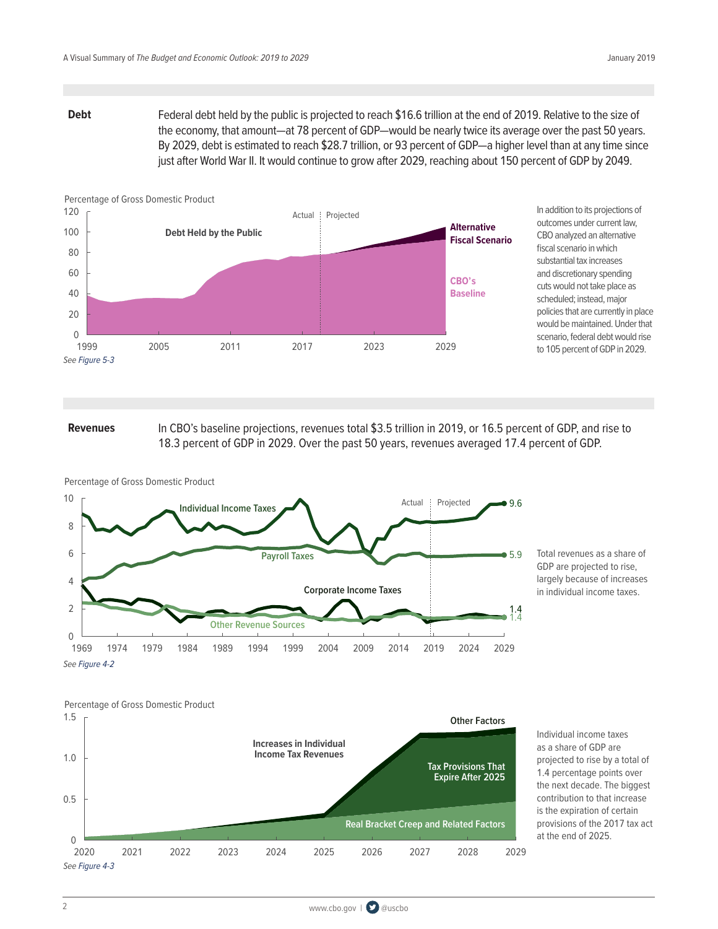**Debt** Federal debt held by the public is projected to reach \$16.6 trillion at the end of 2019. Relative to the size of the economy, that amount—at 78 percent of GDP—would be nearly twice its average over the past 50 years. By 2029, debt is estimated to reach \$28.7 trillion, or 93 percent of GDP—a higher level than at any time since just after World War II. It would continue to grow after 2029, reaching about 150 percent of GDP by 2049.



In addition to its projections of outcomes under current law, CBO analyzed an alternative fiscal scenario in which substantial tax increases and discretionary spending cuts would not take place as scheduled; instead, major policies that are currently in place would be maintained. Under that scenario, federal debt would rise to 105 percent of GDP in 2029.

**Revenues** In CBO's baseline projections, revenues total \$3.5 trillion in 2019, or 16.5 percent of GDP, and rise to 18.3 percent of GDP in 2029. Over the past 50 years, revenues averaged 17.4 percent of GDP.



Percentage of Gross Domestic Product

Total revenues as a share of GDP are projected to rise, largely because of increases in individual income taxes.



Individual income taxes as a share of GDP are projected to rise by a total of 1.4 percentage points over the next decade. The biggest contribution to that increase is the expiration of certain provisions of the 2017 tax act at the end of 2025.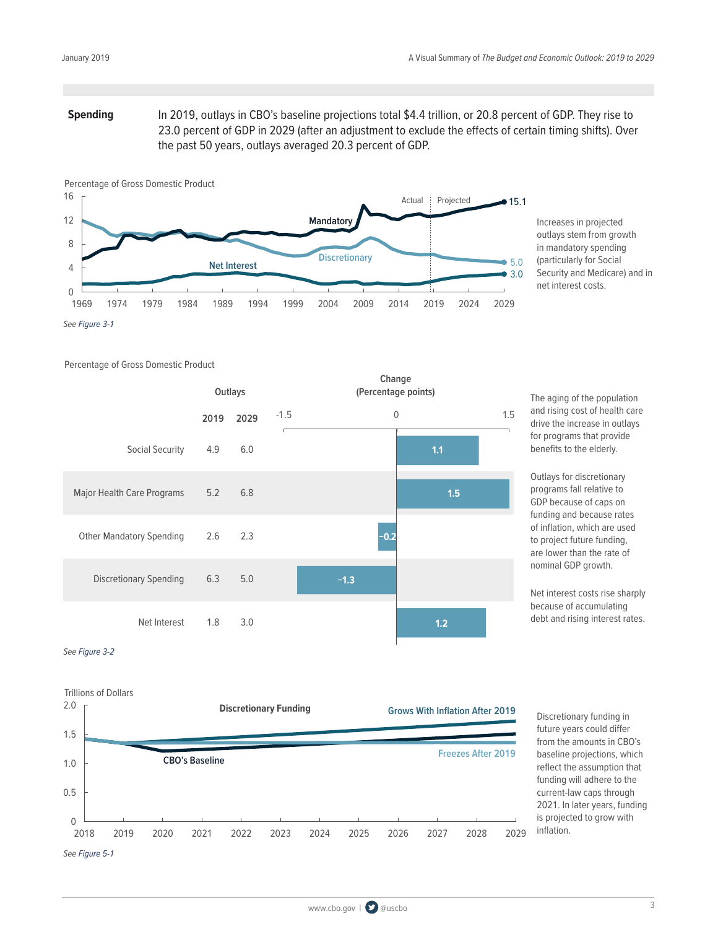## **Spending** In 2019, outlays in CBO's baseline projections total \$4.4 trillion, or 20.8 percent of GDP. They rise to 23.0 percent of GDP in 2029 (after an adjustment to exclude the effects of certain timing shifts). Over the past 50 years, outlays averaged 20.3 percent of GDP.



Increases in projected outlays stem from growth in mandatory spending (particularly for Social Security and Medicare) and in net interest costs.

Percentage of Gross Domestic Product

|                                 |      | Outlays |        | Change<br>(Percentage points) |                |     |
|---------------------------------|------|---------|--------|-------------------------------|----------------|-----|
|                                 | 2019 | 2029    | $-1.5$ |                               | $\overline{0}$ | 1.5 |
| Social Security                 | 4.9  | 6.0     |        |                               | 1.1            |     |
| Major Health Care Programs      | 5.2  | 6.8     |        |                               | 1.5            |     |
| <b>Other Mandatory Spending</b> | 2.6  | 2.3     |        | $-0.2$                        |                |     |
| <b>Discretionary Spending</b>   | 6.3  | 5.0     |        | $-1.3$                        |                |     |
| Net Interest                    | 1.8  | 3.0     |        |                               | 1.2            |     |

The aging of the population and rising cost of health care drive the increase in outlays for programs that provide benefits to the elderly.

Outlays for discretionary programs fall relative to GDP because of caps on funding and because rates of inflation, which are used to project future funding, are lower than the rate of nominal GDP growth.

Net interest costs rise sharply because of accumulating debt and rising interest rates.

### *See [Figure 3-2](https://www.cbo.gov/system/files?file=2019-03/54918-Outlook-3.pdf#page=73)*



Discretionary funding in future years could differ from the amounts in CBO's baseline projections, which reflect the assumption that funding will adhere to the current-law caps through 2021. In later years, funding is projected to grow with inflation.